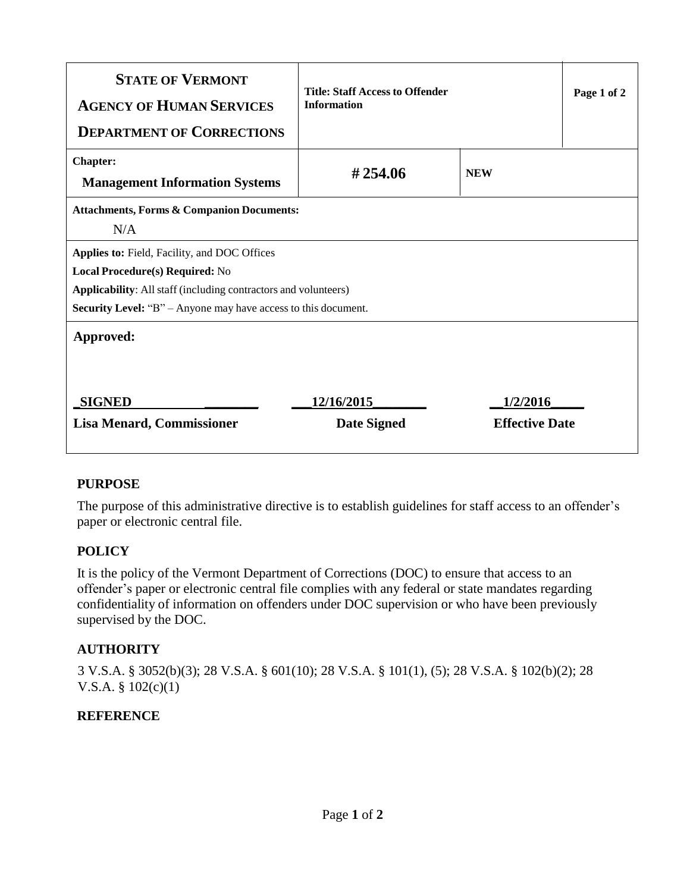| <b>STATE OF VERMONT</b><br><b>AGENCY OF HUMAN SERVICES</b><br><b>DEPARTMENT OF CORRECTIONS</b>                                                                                                                                            | <b>Title: Staff Access to Offender</b><br><b>Information</b> |                                   | Page 1 of 2 |
|-------------------------------------------------------------------------------------------------------------------------------------------------------------------------------------------------------------------------------------------|--------------------------------------------------------------|-----------------------------------|-------------|
| <b>Chapter:</b><br><b>Management Information Systems</b>                                                                                                                                                                                  | #254.06                                                      | <b>NEW</b>                        |             |
| <b>Attachments, Forms &amp; Companion Documents:</b><br>N/A                                                                                                                                                                               |                                                              |                                   |             |
| <b>Applies to: Field, Facility, and DOC Offices</b><br>Local Procedure(s) Required: No<br><b>Applicability:</b> All staff (including contractors and volunteers)<br><b>Security Level:</b> "B" – Anyone may have access to this document. |                                                              |                                   |             |
| Approved:                                                                                                                                                                                                                                 |                                                              |                                   |             |
| <b>SIGNED</b><br><b>Lisa Menard, Commissioner</b>                                                                                                                                                                                         | 12/16/2015<br><b>Date Signed</b>                             | 1/2/2016<br><b>Effective Date</b> |             |

# **PURPOSE**

The purpose of this administrative directive is to establish guidelines for staff access to an offender's paper or electronic central file.

# **POLICY**

It is the policy of the Vermont Department of Corrections (DOC) to ensure that access to an offender's paper or electronic central file complies with any federal or state mandates regarding confidentiality of information on offenders under DOC supervision or who have been previously supervised by the DOC.

# **AUTHORITY**

3 V.S.A. § 3052(b)(3); 28 V.S.A. § 601(10); 28 V.S.A. § 101(1), (5); 28 V.S.A. § 102(b)(2); 28 V.S.A. § 102(c)(1)

### **REFERENCE**